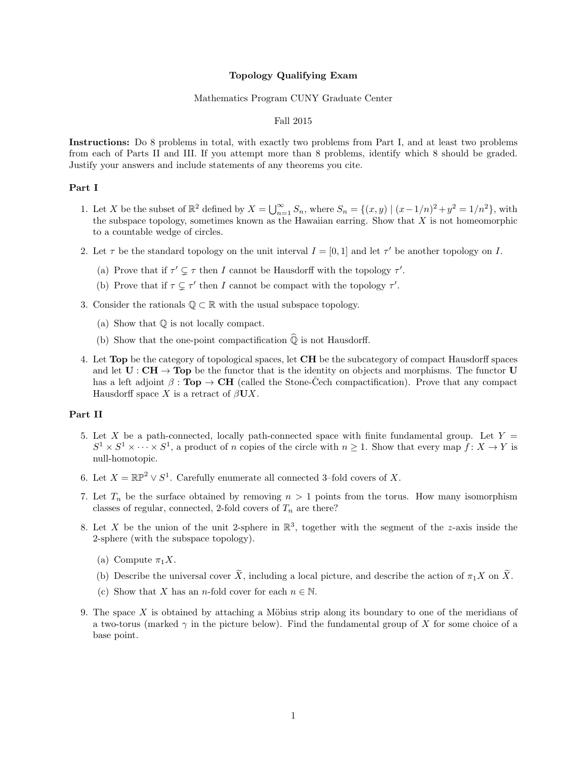### Topology Qualifying Exam

## Mathematics Program CUNY Graduate Center

## Fall 2015

Instructions: Do 8 problems in total, with exactly two problems from Part I, and at least two problems from each of Parts II and III. If you attempt more than 8 problems, identify which 8 should be graded. Justify your answers and include statements of any theorems you cite.

# Part I

- 1. Let X be the subset of  $\mathbb{R}^2$  defined by  $X = \bigcup_{n=1}^{\infty} S_n$ , where  $S_n = \{(x, y) \mid (x 1/n)^2 + y^2 = 1/n^2\}$ , with the subspace topology, sometimes known as the Hawaiian earring. Show that  $X$  is not homeomorphic to a countable wedge of circles.
- 2. Let  $\tau$  be the standard topology on the unit interval  $I = [0, 1]$  and let  $\tau'$  be another topology on I.
	- (a) Prove that if  $\tau' \subsetneq \tau$  then I cannot be Hausdorff with the topology  $\tau'$ .
	- (b) Prove that if  $\tau \subsetneq \tau'$  then I cannot be compact with the topology  $\tau'$ .
- 3. Consider the rationals  $\mathbb{Q} \subset \mathbb{R}$  with the usual subspace topology.
	- (a) Show that Q is not locally compact.
	- (b) Show that the one-point compactification  $\widehat{\mathbb{Q}}$  is not Hausdorff.
- 4. Let Top be the category of topological spaces, let CH be the subcategory of compact Hausdorff spaces and let  $U : CH \rightarrow Top$  be the functor that is the identity on objects and morphisms. The functor U has a left adjoint  $\beta : \textbf{Top} \to \textbf{CH}$  (called the Stone-Cech compactification). Prove that any compact Hausdorff space X is a retract of  $\beta$ UX.

### Part II

- 5. Let X be a path-connected, locally path-connected space with finite fundamental group. Let  $Y =$  $S^1 \times S^1 \times \cdots \times S^1$ , a product of n copies of the circle with  $n \geq 1$ . Show that every map  $f: X \to Y$  is null-homotopic.
- 6. Let  $X = \mathbb{RP}^2 \vee S^1$ . Carefully enumerate all connected 3-fold covers of X.
- 7. Let  $T_n$  be the surface obtained by removing  $n > 1$  points from the torus. How many isomorphism classes of regular, connected, 2-fold covers of  $T_n$  are there?
- 8. Let X be the union of the unit 2-sphere in  $\mathbb{R}^3$ , together with the segment of the z-axis inside the 2-sphere (with the subspace topology).
	- (a) Compute  $\pi_1 X$ .
	- (b) Describe the universal cover  $\widetilde{X}$ , including a local picture, and describe the action of  $\pi_1 X$  on  $\widetilde{X}$ .
	- (c) Show that X has an n-fold cover for each  $n \in \mathbb{N}$ .
- 9. The space  $X$  is obtained by attaching a Möbius strip along its boundary to one of the meridians of a two-torus (marked  $\gamma$  in the picture below). Find the fundamental group of X for some choice of a base point.